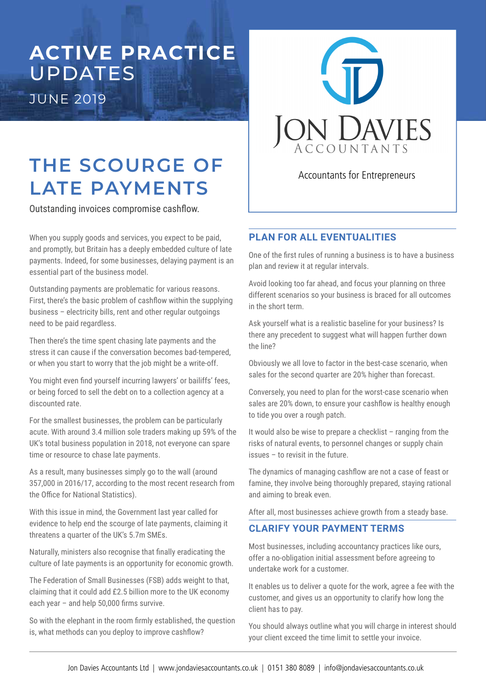## **ACTIVE PRACTICE**  UPDATES JUNE 2019

# **THE SCOURGE OF LATE PAYMENTS**

Outstanding invoices compromise cashlow.

When you supply goods and services, you expect to be paid, and promptly, but Britain has a deeply embedded culture of late payments. Indeed, for some businesses, delaying payment is an essential part of the business model.

Outstanding payments are problematic for various reasons. First, there's the basic problem of cashflow within the supplying business – electricity bills, rent and other regular outgoings need to be paid regardless.

Then there's the time spent chasing late payments and the stress it can cause if the conversation becomes bad-tempered, or when you start to worry that the job might be a write-off.

You might even find yourself incurring lawyers' or bailiffs' fees, or being forced to sell the debt on to a collection agency at a discounted rate.

For the smallest businesses, the problem can be particularly acute. With around 3.4 million sole traders making up 59% of the UK's total business population in 2018, not everyone can spare time or resource to chase late payments.

As a result, many businesses simply go to the wall (around 357,000 in 2016/17, according to the most recent research from the Office for National Statistics).

With this issue in mind, the Government last year called for evidence to help end the scourge of late payments, claiming it threatens a quarter of the UK's 5.7m SMEs.

Naturally, ministers also recognise that finally eradicating the culture of late payments is an opportunity for economic growth.

The Federation of Small Businesses (FSB) adds weight to that, claiming that it could add £2.5 billion more to the UK economy each year  $-$  and help 50,000 firms survive.

So with the elephant in the room firmly established, the question is, what methods can you deploy to improve cashflow?



Accountants for Entrepreneurs

### **PLAN FOR ALL EVENTUALITIES**

One of the first rules of running a business is to have a business plan and review it at regular intervals.

Avoid looking too far ahead, and focus your planning on three different scenarios so your business is braced for all outcomes in the short term.

Ask yourself what is a realistic baseline for your business? Is there any precedent to suggest what will happen further down the line?

Obviously we all love to factor in the best-case scenario, when sales for the second quarter are 20% higher than forecast.

Conversely, you need to plan for the worst-case scenario when sales are 20% down, to ensure your cashflow is healthy enough to tide you over a rough patch.

It would also be wise to prepare a checklist – ranging from the risks of natural events, to personnel changes or supply chain issues – to revisit in the future.

The dynamics of managing cashflow are not a case of feast or famine, they involve being thoroughly prepared, staying rational and aiming to break even.

After all, most businesses achieve growth from a steady base.

### **CLARIFY YOUR PAYMENT TERMS**

Most businesses, including accountancy practices like ours, offer a no-obligation initial assessment before agreeing to undertake work for a customer.

It enables us to deliver a quote for the work, agree a fee with the customer, and gives us an opportunity to clarify how long the client has to pay.

You should always outline what you will charge in interest should your client exceed the time limit to settle your invoice.